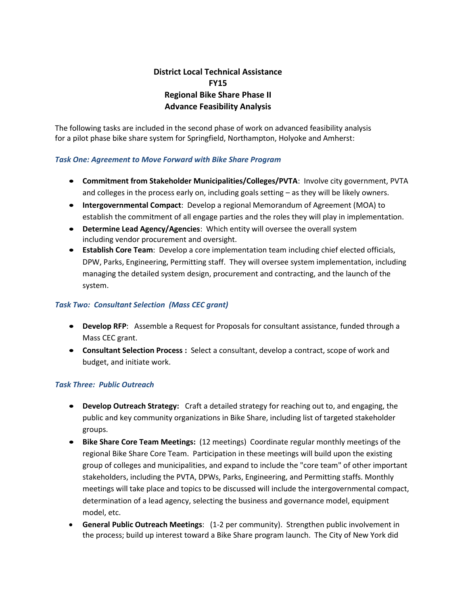# **District Local Technical Assistance FY15 Regional Bike Share Phase II Advance Feasibility Analysis**

The following tasks are included in the second phase of work on advanced feasibility analysis for a pilot phase bike share system for Springfield, Northampton, Holyoke and Amherst:

# *Task One: Agreement to Move Forward with Bike Share Program*

- **Commitment from Stakeholder Municipalities/Colleges/PVTA**: Involve city government, PVTA and colleges in the process early on, including goals setting – as they will be likely owners.
- **Intergovernmental Compact**: Develop a regional Memorandum of Agreement (MOA) to establish the commitment of all engage parties and the roles they will play in implementation.
- **Determine Lead Agency/Agencies**: Which entity will oversee the overall system including vendor procurement and oversight.
- **Establish Core Team**: Develop a core implementation team including chief elected officials, DPW, Parks, Engineering, Permitting staff. They will oversee system implementation, including managing the detailed system design, procurement and contracting, and the launch of the system.

# *Task Two: Consultant Selection (Mass CEC grant)*

- **Develop RFP**: Assemble a Request for Proposals for consultant assistance, funded through a Mass CEC grant.
- **Consultant Selection Process :** Select a consultant, develop a contract, scope of work and budget, and initiate work.

# *Task Three: Public Outreach*

- **Develop Outreach Strategy:** Craft a detailed strategy for reaching out to, and engaging, the public and key community organizations in Bike Share, including list of targeted stakeholder groups.
- **Bike Share Core Team Meetings:** (12 meetings) Coordinate regular monthly meetings of the regional Bike Share Core Team. Participation in these meetings will build upon the existing group of colleges and municipalities, and expand to include the "core team" of other important stakeholders, including the PVTA, DPWs, Parks, Engineering, and Permitting staffs. Monthly meetings will take place and topics to be discussed will include the intergovernmental compact, determination of a lead agency, selecting the business and governance model, equipment model, etc.
- **General Public Outreach Meetings**: (1-2 per community). Strengthen public involvement in the process; build up interest toward a Bike Share program launch. The City of New York did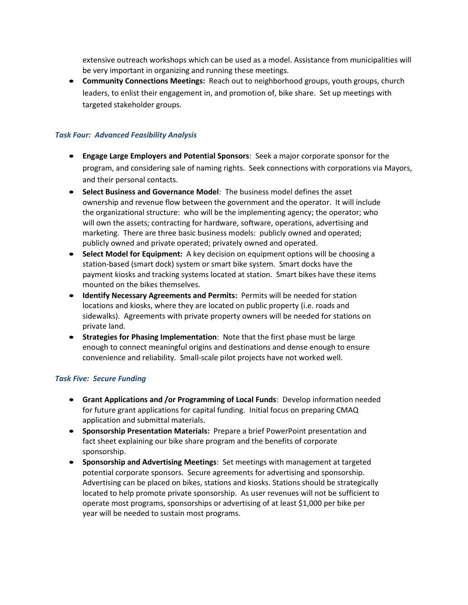extensive outreach workshops which can be used as a model. Assistance from municipalities will be very important in organizing and running these meetings.

 **Community Connections Meetings:** Reach out to neighborhood groups, youth groups, church leaders, to enlist their engagement in, and promotion of, bike share. Set up meetings with targeted stakeholder groups.

# *Task Four: Advanced Feasibility Analysis*

- **Engage Large Employers and Potential Sponsors**: Seek a major corporate sponsor for the program, and considering sale of naming rights. Seek connections with corporations via Mayors, and their personal contacts.
- **Select Business and Governance Model**: The business model defines the asset ownership and revenue flow between the government and the operator. It will include the organizational structure: who will be the implementing agency; the operator; who will own the assets; contracting for hardware, software, operations, advertising and marketing. There are three basic business models: publicly owned and operated; publicly owned and private operated; privately owned and operated.
- **Select Model for Equipment:** A key decision on equipment options will be choosing a station-based (smart dock) system or smart bike system. Smart docks have the payment kiosks and tracking systems located at station. Smart bikes have these items mounted on the bikes themselves.
- **Identify Necessary Agreements and Permits:** Permits will be needed for station locations and kiosks, where they are located on public property (i.e. roads and sidewalks). Agreements with private property owners will be needed for stations on private land.
- **Strategies for Phasing Implementation**: Note that the first phase must be large enough to connect meaningful origins and destinations and dense enough to ensure convenience and reliability. Small-scale pilot projects have not worked well.

#### *Task Five: Secure Funding*

- **Grant Applications and /or Programming of Local Funds**: Develop information needed for future grant applications for capital funding. Initial focus on preparing CMAQ application and submittal materials.
- **Sponsorship Presentation Materials:** Prepare a brief PowerPoint presentation and fact sheet explaining our bike share program and the benefits of corporate sponsorship.
- **Sponsorship and Advertising Meetings**: Set meetings with management at targeted potential corporate sponsors. Secure agreements for advertising and sponsorship. Advertising can be placed on bikes, stations and kiosks. Stations should be strategically located to help promote private sponsorship. As user revenues will not be sufficient to operate most programs, sponsorships or advertising of at least \$1,000 per bike per year will be needed to sustain most programs.